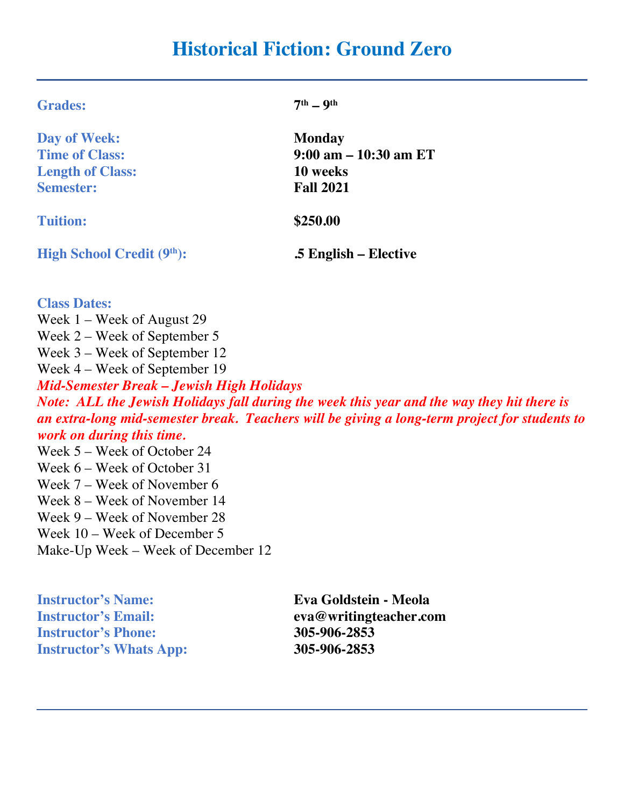# **Historical Fiction: Ground Zero**

| Day of Week:                     | Monday                   |  |
|----------------------------------|--------------------------|--|
| <b>Time of Class:</b>            | $9:00$ am $-10:30$ am ET |  |
| <b>Length of Class:</b>          | 10 weeks                 |  |
| <b>Semester:</b>                 | <b>Fall 2021</b>         |  |
| <b>Tuition:</b>                  | \$250.00                 |  |
| <b>High School Credit (9th):</b> | .5 English – Elective    |  |
| <b>Class Dates:</b>              |                          |  |
| Week $1$ – Week of August 29     |                          |  |
| Week $2$ – Week of September 5   |                          |  |
| Week 3 – Week of September 12    |                          |  |
| Week 4 – Week of September 19    |                          |  |
|                                  |                          |  |

*Mid-Semester Break – Jewish High Holidays Note: ALL the Jewish Holidays fall during the week this year and the way they hit there is an extra-long mid-semester break. Teachers will be giving a long-term project for students to work on during this time.*

Week 5 – Week of October 24 Week 6 – Week of October 31 Week 7 – Week of November 6 Week 8 – Week of November 14 Week 9 – Week of November 28 Week 10 – Week of December 5 Make-Up Week – Week of December 12

**Grades: 7th – 9th**

**Instructor's Name: Eva Goldstein - Meola Instructor's Phone: 305-906-2853 Instructor's Whats App: 305-906-2853**

**Instructor's Email: eva@writingteacher.com**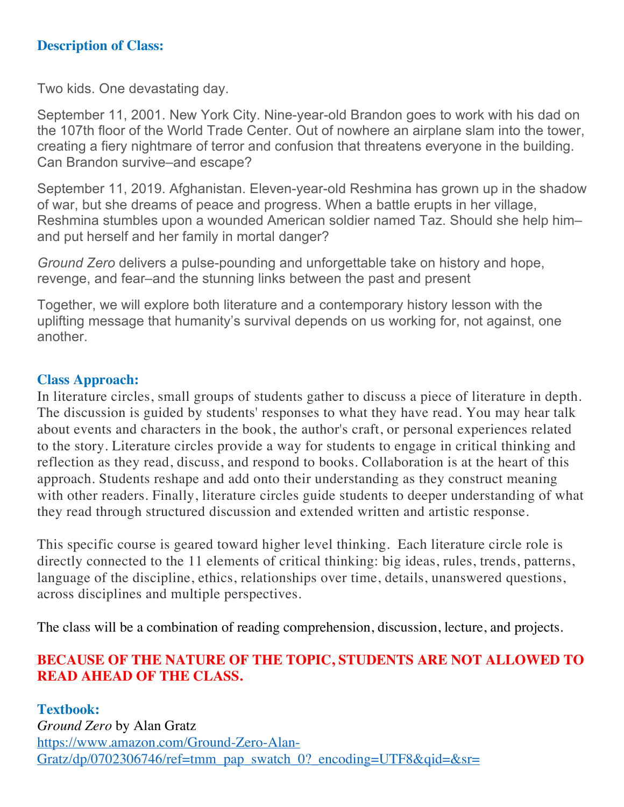# **Description of Class:**

Two kids. One devastating day.

September 11, 2001. New York City. Nine-year-old Brandon goes to work with his dad on the 107th floor of the World Trade Center. Out of nowhere an airplane slam into the tower, creating a fiery nightmare of terror and confusion that threatens everyone in the building. Can Brandon survive–and escape?

September 11, 2019. Afghanistan. Eleven-year-old Reshmina has grown up in the shadow of war, but she dreams of peace and progress. When a battle erupts in her village, Reshmina stumbles upon a wounded American soldier named Taz. Should she help him– and put herself and her family in mortal danger?

*Ground Zero* delivers a pulse-pounding and unforgettable take on history and hope, revenge, and fear–and the stunning links between the past and present

Together, we will explore both literature and a contemporary history lesson with the uplifting message that humanity's survival depends on us working for, not against, one another.

## **Class Approach:**

In literature circles, small groups of students gather to discuss a piece of literature in depth. The discussion is guided by students' responses to what they have read. You may hear talk about events and characters in the book, the author's craft, or personal experiences related to the story. Literature circles provide a way for students to engage in critical thinking and reflection as they read, discuss, and respond to books. Collaboration is at the heart of this approach. Students reshape and add onto their understanding as they construct meaning with other readers. Finally, literature circles guide students to deeper understanding of what they read through structured discussion and extended written and artistic response.

This specific course is geared toward higher level thinking. Each literature circle role is directly connected to the 11 elements of critical thinking: big ideas, rules, trends, patterns, language of the discipline, ethics, relationships over time, details, unanswered questions, across disciplines and multiple perspectives.

The class will be a combination of reading comprehension, discussion, lecture, and projects.

# **BECAUSE OF THE NATURE OF THE TOPIC, STUDENTS ARE NOT ALLOWED TO READ AHEAD OF THE CLASS.**

**Textbook:** *Ground Zero* by Alan Gratz https://www.amazon.com/Ground-Zero-Alan-Gratz/dp/0702306746/ref=tmm\_pap\_swatch\_0?\_encoding=UTF8&qid=&sr=